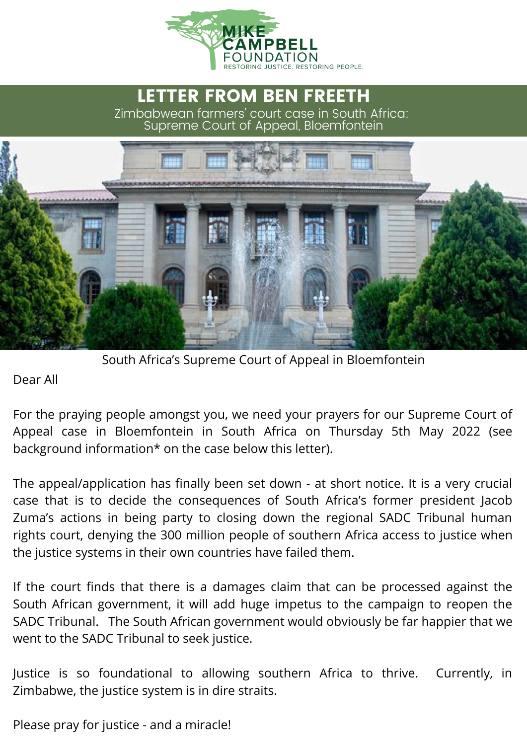

## LETTER FROM BEN FREETH Zimbabwean farmers' court case in South Africa: Supreme Court of Appeal, Bloemfontein



South Africa's Supreme Court of Appeal in Bloemfontein

Dear All

For the praying people amongst you, we need your prayers for our Supreme Court of Appeal case in Bloemfontein in South Africa on Thursday 5th May 2022 (see background information\* on the case below this letter).

The appeal/application has finally been set down - at short notice. It is a very crucial case that is to decide the consequences of South Africa's former president Jacob Zuma's actions in being party to closing down the regional SADC Tribunal human rights court, denying the 300 million people of southern Africa access to justice when the justice systems in their own countries have failed them.

If the court finds that there is a damages claim that can be processed against the South African government, it will add huge impetus to the campaign to reopen the SADC Tribunal. The South African government would obviously be far happier that we went to the SADC Tribunal to seek justice.

Justice is so foundational to allowing southern Africa to thrive. Currently, in Zimbabwe, the justice system is in dire straits.

Please pray for justice - and a miracle!